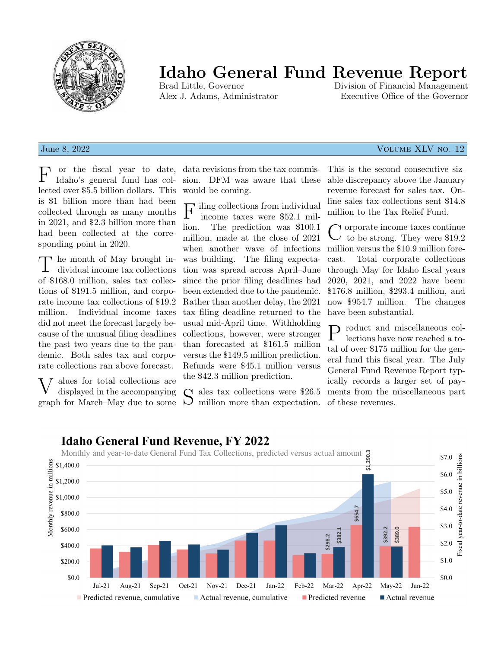

# Idaho General Fund Revenue Report

Division of Financial Management Alex J. Adams, Administrator Executive Office of the Governor

### **June 8, 2022** Volume XLV no. 12

F or the fiscal year to date, Idaho's general fund has collected over \$5.5 billion dollars. This is \$1 billion more than had been collected through as many months in 2021, and \$2.3 billion more than had been collected at the corresponding point in 2020.

T he month of May brought individual income tax collections of \$168.0 million, sales tax collections of \$191.5 million, and corporate income tax collections of \$19.2 million. Individual income taxes did not meet the forecast largely because of the unusual filing deadlines the past two years due to the pandemic. Both sales tax and corporate collections ran above forecast.

V alues for total collections are displayed in the accompanying graph for March–May due to some data revisions from the tax commission. DFM was aware that these would be coming.

 ${\bf F}$ iling collections from individual income taxes were \$52.1 milincome taxes were \$52.1 million. The prediction was \$100.1 million, made at the close of 2021 when another wave of infections was building. The filing expectation was spread across April–June since the prior filing deadlines had been extended due to the pandemic. Rather than another delay, the 2021 tax filing deadline returned to the usual mid-April time. Withholding collections, however, were stronger than forecasted at \$161.5 million versus the \$149.5 million prediction. Refunds were \$45.1 million versus the \$42.3 million prediction.

S ales tax collections were \$26.5 million more than expectation.  $\overline{D}$  million more than expectation.

This is the second consecutive sizable discrepancy above the January revenue forecast for sales tax. Online sales tax collections sent \$14.8 million to the Tax Relief Fund.

C orporate income taxes continue<br>
C to be strong. They were \$19.2 orporate income taxes continue million versus the \$10.9 million forecast. Total corporate collections through May for Idaho fiscal years 2020, 2021, and 2022 have been: \$176.8 million, \$293.4 million, and now \$954.7 million. The changes have been substantial.

P roduct and miscellaneous collections have now reached a tolections have now reached a total of over \$175 million for the general fund this fiscal year. The July General Fund Revenue Report typically records a larger set of payments from the miscellaneous part of these revenues.



## **Idaho General Fund Revenue, FY 2022**